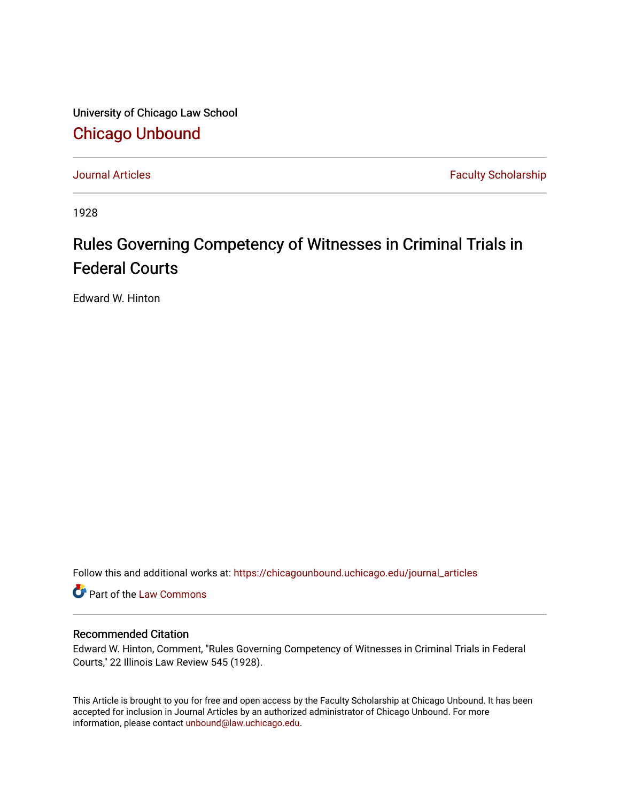University of Chicago Law School [Chicago Unbound](https://chicagounbound.uchicago.edu/)

[Journal Articles](https://chicagounbound.uchicago.edu/journal_articles) **Faculty Scholarship Faculty Scholarship** 

1928

## Rules Governing Competency of Witnesses in Criminal Trials in Federal Courts

Edward W. Hinton

Follow this and additional works at: [https://chicagounbound.uchicago.edu/journal\\_articles](https://chicagounbound.uchicago.edu/journal_articles?utm_source=chicagounbound.uchicago.edu%2Fjournal_articles%2F9362&utm_medium=PDF&utm_campaign=PDFCoverPages) 

Part of the [Law Commons](http://network.bepress.com/hgg/discipline/578?utm_source=chicagounbound.uchicago.edu%2Fjournal_articles%2F9362&utm_medium=PDF&utm_campaign=PDFCoverPages)

## Recommended Citation

Edward W. Hinton, Comment, "Rules Governing Competency of Witnesses in Criminal Trials in Federal Courts," 22 Illinois Law Review 545 (1928).

This Article is brought to you for free and open access by the Faculty Scholarship at Chicago Unbound. It has been accepted for inclusion in Journal Articles by an authorized administrator of Chicago Unbound. For more information, please contact [unbound@law.uchicago.edu](mailto:unbound@law.uchicago.edu).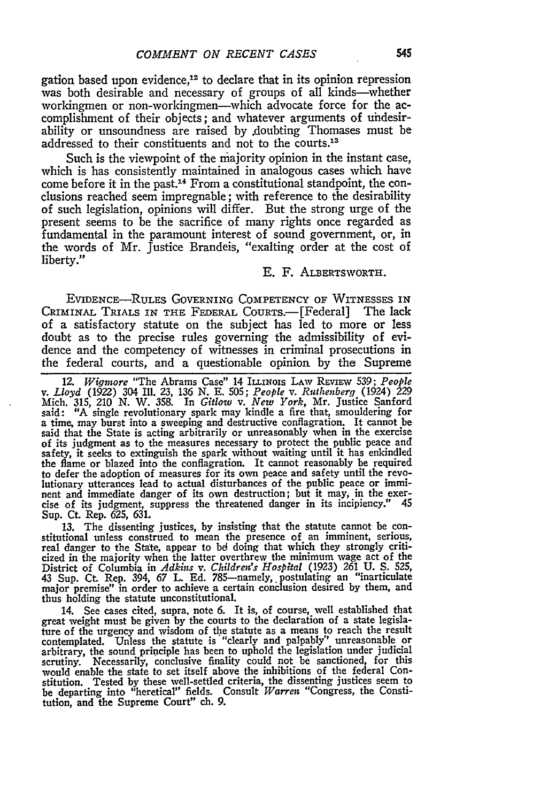gation based upon evidence,<sup>12</sup> to declare that in its opinion repression was both desirable and necessary of groups of all kinds-whether workingmen or non-workingmen—which advocate force for the accomplishment of their objects; and whatever arguments of uhdesirability or unsoundness are raised by .doubting Thomases must be addressed to their constituents and not to the courts **. <sup>3</sup>**

Such is the viewpoint of the majority opinion in the instant case, which is has consistently maintained in analogous cases which have come before it in the past.'4 From a constitutional standpoint, the conclusions reached seem impregnable; with reference to the desirability of such legislation, opinions will differ. But the strong urge of the present seems to be the sacrifice of many rights once regarded as fundamental in the paramount interest of sound government, or, in the words of Mr. Justice Brandeis, "exalting order at the cost of liberty."

## **E.** F. ALBERTSWORTH.

EVIDENCE-RULES GOVERNING COMPETENCY OF WITNESSES **IN** CRIMINAL TRIALS IN THE FEDERAL COURTS.--[Federal] The lack of a satisfactory statute on the subject has led to more or less doubt as to the precise rules governing the admissibility of evidence and the competency of witnesses in criminal prosecutions in the federal courts, and a questionable opinion by the Supreme

12. *Wiginore* "The Abrams Case" 14 ILLINOIs LAW REvIEW 539; *People v. Lloyd* (1922) 304 Ill. **23,** 136 *N.* E. **505;** *People v. Ruthenberq* (1924) 229 Mich. 315, 210 *N.* W. 358. In *Gitlow v. New York,* Mr. Justice Sanford said: **"A** single revolutionary spark may kindle a fire that, smouldering for a time, may burst into a sweeping and destructive conflagration. It cannot be said that the State is acting arbitrarily or unreasonably when in the exercise of its judgment as to the measures necessary to protect the public peace and safety, it seeks to extinguish the spark without waiting until it has enkindled the flame or blazed into the conflagration. It cannot reasonably be required to defer the adoption of measures for its own peace and safety until the revo- lutionary utterances lead to actual disturbances of the public peace or imminent and immediate danger of its own destruction; but it may, in the exer-<br>cise of its judgment, suppress the threatened danger in its incipiency." 45 cise of its judgment, suppress the threatened danger in its incipiency." 45 Sup. Ct. Rep. 625, 631.

13. The dissenting justices, **by** insisting that the statute cannot be constitutional unless construed to mean the presence of an imminent, serious, real danger to the State, appear to **bd** doing that which they strongly criticized in the majority when the latter overthrew the minimum wage act of the District of Columbia in *Adkins v. Children's Hospital* (1923) **261 U. S.** 525, 43 Sup. **Ct.** Rep. 394, 67 L. **Ed.** 785-namely, postulating an "inarticulate major premise" in order to achieve a certain conclusion desired **by** them, and thus holding the statute unconstitutional.

14. See cases cited, supra. note **6.** It is, of course, well established that great weight must be given **by** the courts to the declaration of a state legislature of the urgency and wisdom of the statute as a means to reach the result contemplated. Unless the statute is "clearly and palpably" unreasonable or arbitrary, the sound principle has been to uphold the legislation under judicial scrutiny. Necessarily, conclusive finality could not be sanctioned, for this would enable the state to set itself above the inhibitions of the federal Constitution. Tested **by** these well-settled criteria, the dissenting justices seem to be departing into "heretical" fields. Consult *Warren* "Congress, the Constitution, and the Supreme Court" ch. **9.**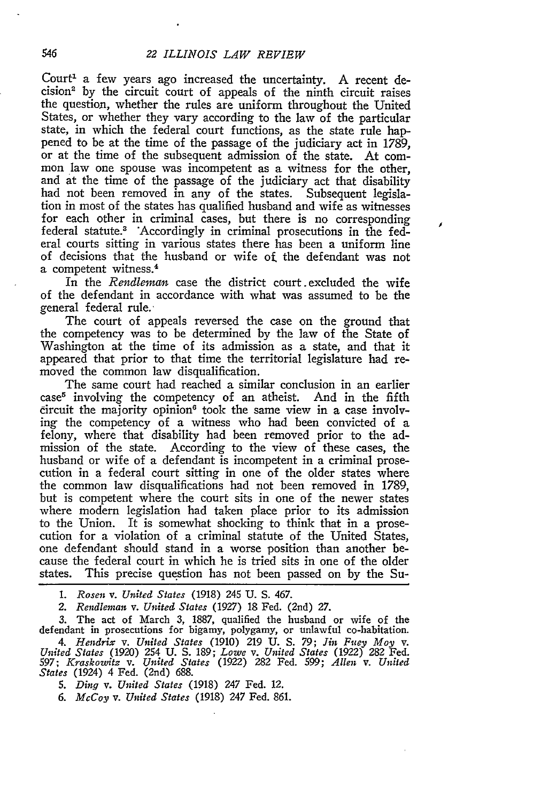Court' a few years ago increased the uncertainty. A recent decision<sup>2</sup> by the circuit court of appeals of the ninth circuit raises the question, whether the rules are uniform throughout the United States, or whether they vary according to the law of the particular state, in which the federal court functions, as the state rule happened to be at the time of the passage of the judiciary act in 1789, or at the time of the subsequent admission of the state. At common law one spouse was incompetent as a witness for the other, and at the time of the passage of the judiciary act that disability had not been removed in any of the states. Subsequent legislation in most of the states has qualified husband and wife as witnesses for each other in criminal cases, but there is no corresponding federal statute.3 'Accordingly in criminal prosecutions in the federal courts sitting in various states there has been a uniform line of decisions that the husband or wife of, the defendant was not a competent witness.<sup>4</sup>

In the *Rendleman* case the district court excluded the wife of the defendant in accordance with what was assumed to be the general federal rule.-

The court of appeals reversed the case on the ground that the competency was to be determined by the law of the State of Washington at the time of its admission as a state, and that it appeared that prior to that time the territorial legislature had removed the common law disqualification.

The same court had reached a similar conclusion in an earlier case<sup>5</sup> involving the competency of an atheist. And in the fifth  $circuit$  the majority opinion $6$  took the same view in a case involving the competency of a witness who had been convicted of a felony, where that disability had been removed prior to the admission of the state. According to the view of these cases, the husband or wife of a defendant is incompetent in a criminal prosecution in a federal court sitting in one of the older states where the common law disqualifications had not been removed in 1789, but is competent where the court sits in one of the newer states where modem legislation had taken place prior to its admission to the Union. It is somewhat shocking to think that in a prosecution for a violation of a criminal statute of the United States, one defendant should stand in a worse position than another because the federal court in which he is tried sits in one of the older states. This precise question has not been passed on by the Su-

*1. Rosen v. United States* (1918) 245 **U. S.** 467.

*2. Rendlenzan v. United States* (1927) 18 Fed. (2nd) *27.*

3. The act of March 3, 1887, qualified the husband or wife of the defendant in prosecutions for bigamy, polygamy, or unlawful co-habitation. *4. Hendrix v. United States* (1910) 219 **U. S. 79;** *Jin Fuey Moy v. United States* (1920) 254 U. S. 189; *Lowe v. United States* (1922) 282 Fed. 597; *Kraskowitz v. United States* (1922) 282 Fed. 599; *Allen v. United States* (1924) 4 Fed. (2nd) 688.

*5. Ding v. United States* (1918) *247* Fed. 12.

*6. McCoy v. United States* (1918) *247* Fed. 861.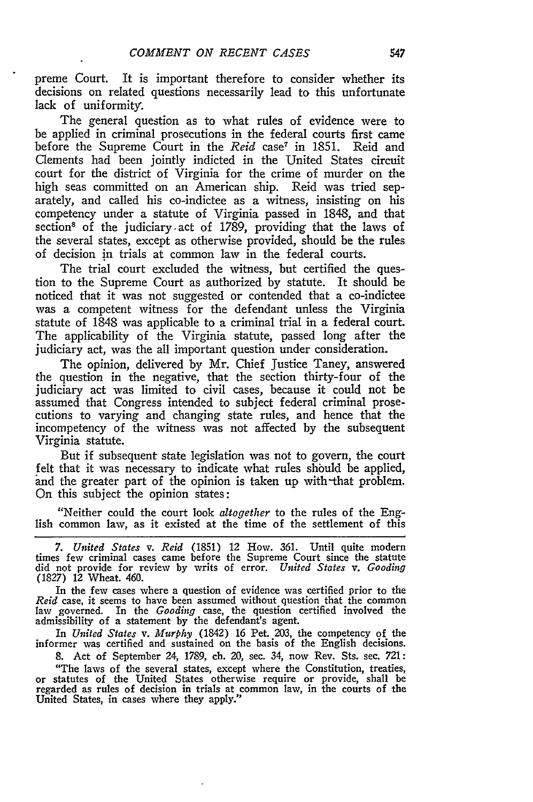preme Court. It is important therefore to consider whether its decisions on related questions necessarily lead to this unfortunate lack of uniformity.

The general question as to what rules of evidence were to be applied in criminal prosecutions in the federal courts first came before the Supreme Court in the *Reid* case<sup>7</sup> in 1851. Reid and Clements had been jointly indicted in the United States circuit court for the district of Virginia for the crime of murder on the high seas committed on an American ship. Reid was tried separately, and called his co-indictee as a witness, insisting on his competency under a statute of Virginia passed in 1848, and that section<sup>8</sup> of the judiciary act of 1789, providing that the laws of the several states, except as otherwise provided, should be the rules of decision in trials at common law in the federal courts.

The trial court excluded the witness, but certified the question to the Supreme Court as authorized by statute. It should be noticed that it was not suggested or contended that a co-indictee was a competent witness for the defendant unless the Virginia statute of 1848 was applicable to a criminal trial in a federal court. The applicability of the Virginia statute, passed long after the judiciary act, was the all important question under consideration.

The opinion, delivered by Mr. Chief Justice Taney, answered the question in the negative, that the section thirty-four of the judiciary act was limited to civil cases, because it could not be assumed that Congress intended to subject federal criminal prosecutions to varying and changing state rules, and hence that the incompetency of the witness was not affected by the subsequent Virginia statute.

But if subsequent state legislation was not to govern, the court felt that it was necessary to indicate what rules should be applied, and the greater part of the opinion is taken up with-that problem. On this subject the opinion states:

"Neither could the court look *altogether* to the rules of the English common law, as it existed at the time of the settlement of this

*7. United States v. Reid* (1851) 12 How. 361. Until quite modern times few criminal cases came before the Supreme Court since the statute did not provide for review by writs of error. *United States v. Gooding* (1827) 12 Wheat. 460.

In the few cases where a question of evidence was certified prior to the *Reid* case, it seems to have been assumed without question that the common law governed. In the *Gooding* case, the question certified involved the admissibility of a statement by the defendant's agent.

In *United States v. Murphy* (1842) 16 Pet. 203, the competency of the informer was certified and sustained on the basis of the English decisions.

8. Act of September 24, 1789, ch. 20, sec. 34, now Rev. Sts. sec. 721:

"The laws of the several states, except where the Constitution, treaties, or statutes of the United States otherwise require or provide, shall be regarded as rules of decision in trials at common law, in the courts of the United States, in cases where they apply."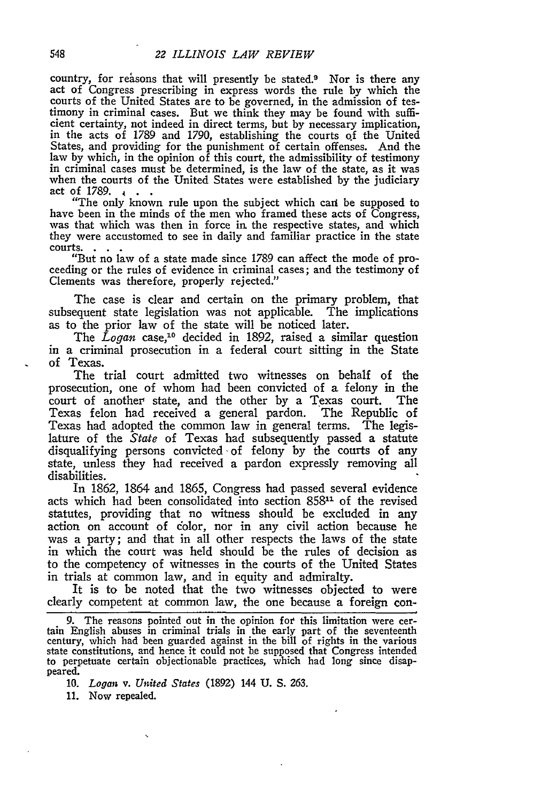country, for reasons that will presently be stated.<sup>9</sup> Nor is there any act of Congress prescribing in express words the rule by which the courts of the United States are to be governed, in the admission of testimony in criminal cases. But we think they may be found with sufficient certainty, not indeed in direct terms, but by necessary implication, in the acts of 1789 and 1790, establishing the courts **of** the United States, and providing for the punishment of certain offenses. And the law by which, in the opinion of this court, the admissibility of testimony in criminal cases must be determined, is the law of the state, as it was when the courts of the United States were established by the judiciary

act of 1789. **4 . . . .** *.* **<b>***t* **o .** *. s s ns s s ns s ns* **<b>***s ns n***<b>***<i>n<i>s***</del> <b>***n<i>n<i>n<i>n<i>n<i>n* have been in the minds of the men who framed these acts of Congress, was that which was then in force in the respective states, and which they were accustomed to see in daily and familiar practice in the state

courts. **. .** "But no law of a state made since 1789 can affect the mode of pro- ceeding or the rules of evidence in criminal cases; and the testimony of Clements was therefore, properly rejected."

The case is clear and certain on the primary problem, that subsequent state legislation was not applicable. The implications as to the prior law of the state will be noticed later.

The *Logan* case,<sup>10</sup> decided in 1892, raised a similar question in a criminal prosecution in a federal court sitting in the State of Texas.

The trial court admitted two witnesses on behalf of the prosecution, one of whom had been convicted of a felony in the court of another state, and the other by a Texas court. The Texas felon had received a general pardon. The Republic of Texas had adopted the common law in general terms. The legislature of the *State* of Texas had subsequently passed a statute disqualifying persons convicted of felony by the courts of any state, unless they had received a pardon expressly removing all disabilities.

In 1862, 1864 and 1865, Congress had passed several evidence acts which had been consolidated into section **85811** of the revised statutes, providing that no witness should be excluded in any action on account of color, nor in any civil action because he was a party; and that in all other respects the laws of the state in which the court was held should be the rules of decision as to the competency of witnesses in the courts of the United States in trials at common law, and in equity and admiralty.

It is to be noted that the two witnesses objected to were clearly competent at common law, the one because a foreign con-

9. The reasons pointed out in the opinion for this limitation were certain English abuses in criminal trials in the early part of the seventeenth century, which had been guarded against in the bill of rights in the various state constitutions, and hence it could not be supposed that Congress intended to perpetuate certain objectionable practices, which had long since disappeared.

10. *Logan v. United States* (1892) 144 U. S. 263.

11. Now repealed.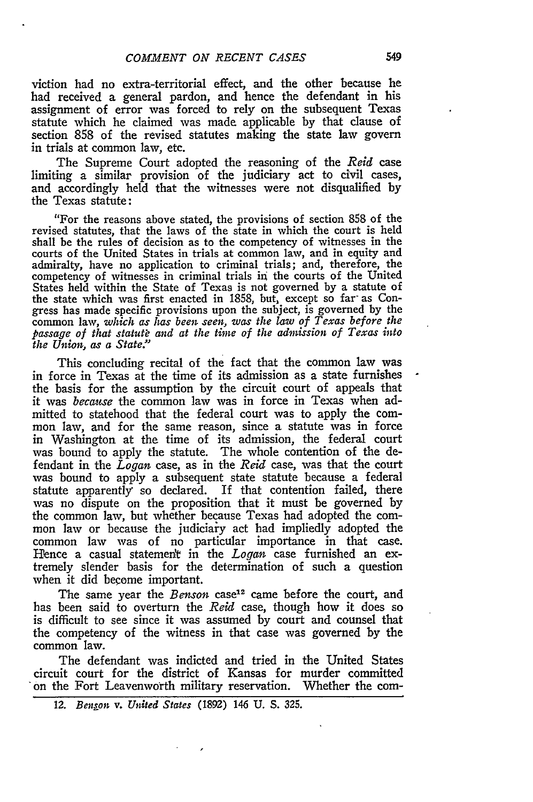viction had no extra-territorial effect, and the other because he had received a general pardon, and hence the defendant in his assignment of error was forced to rely on the subsequent Texas statute which he claimed was made applicable **by** that clause of section 858 of the revised statutes making the state law govern in trials at common law, etc.

The Supreme Court adopted the reasoning of the *Reid* case limiting a similar provision of the judiciary act to civil cases, and accordingly held that the witnesses were not disqualified **by** the Texas statute:

"For the reasons above stated, the provisions of section **858** of the revised statutes, that the laws of the state in which the court is held shall be the rules of decision as to the competency of witnesses in the courts of the United States in trials at common law, and in equity and admiralty, have no application to criminal trials; and, therefore, the competency of witnesses in criminal trials in the courts of the United States held within the State of Texas is not governed **by** a statute of the state which was first enacted in 1858, but, except so far- as Congress has made specific provisions upon the subject, is governed **by** the common law, *which as has been seen, was the law of Texas before the* passage of that statute and at the time of the admission of Texas into *the Union, as a State."*

This concluding recital of the fact that the common law was in force in Texas at the time of its admission as a state furnishes the basis for the assumption by the circuit court of appeals that it was *because* the common law was in force in Texas when admitted to statehood that the federal court was to apply the common law, and for the same reason, since a statute was in force in Washington at the time of its admission, the federal court was bound to apply the statute. The whole contention of the defendant in the *Logan* case, as in the *Reid* case, was that the court was bound to apply a subsequent state statute because a federal statute apparently so declared. If that contention failed, there was no dispute on the proposition that it must be governed by the common law, but whether because Texas had adopted the common law or because the judiciary act had impliedly adopted the common law was of no particular importance in that case. Hence a casual statement in the *Logan* case furnished an extremely slender basis for the determination of such a question when it did become important.

The same year the *Benson* case<sup>12</sup> came before the court, and has been said to overturn the *Reid* case, though how it does so is difficult to see since it was assumed by court and counsel that the competency of the witness in that case was governed by the common law.

The defendant was indicted and tried in the United States circuit court for the district of Kansas for murder committed 'on the Fort Leavenworth military reservation. Whether the com-

*<sup>12.</sup> Benson v. United States* (1892) 146 U. S. 325.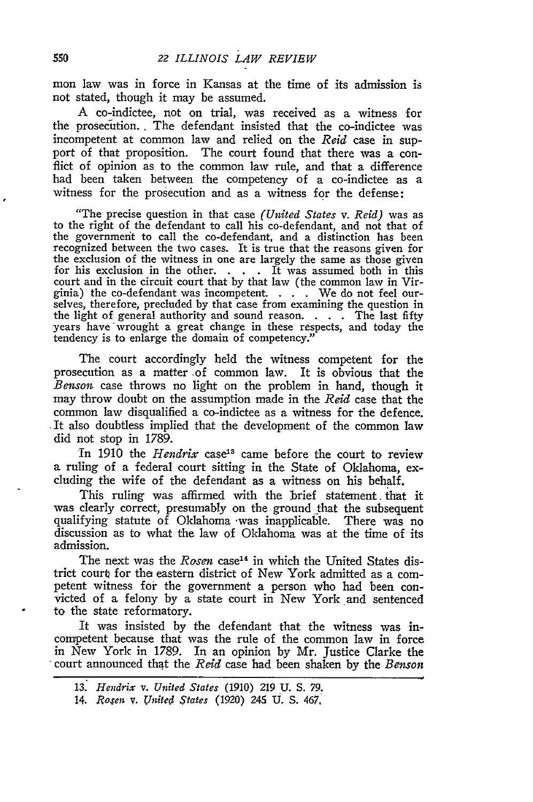mon law was in force in Kansas at the time of its admission is not stated, though it may be assumed.

A co-indictee, not on trial, was received as a witness for the prosecution. . The defendant insisted that the co-indictee was incompetent at common law and relied on the *Reid* case in support of that proposition. The court found that there was a conflict of opinion as to the common law rule, and that a difference had been taken between the competency of a co-indictee as a witness for the prosecution and as a witness for the defense:

"The precise question in that case *(United States v. Reid)* was as to the right of the defendant to call his co-defendant, and not that of the governmerit to call the co-defendant, and a distinction has been recognized between the two cases. It is true that the reasons given for the exclusion of the witness in one are largely the same as those given for his exclusion in the other. **. . .** It was assumed both in this court and in the circuit court that by that law (the common law in Virginia) the co-defendant was incompetent. . . . We do not feel our-selves, therefore, precluded by that case from examining the question in the light of general authority and sound reason. . **.** . The last fifty years have wrought a great change in these respects, and today the tendency is to enlarge the domain of competency."

The court accordingly held the witness competent for the prosecution as a matter -of common law. It is obvious that the *Benson* case throws no light on the problem in hand, though it may throw doubt on the assumption made in the *Reid* case that the common law disqualified a co-indictee as a witness for the defence. It also doubtless implied that the development of the common law did not stop in 1789.

In 1910 the *Hendrix* case<sup>13</sup> came before the court to review a ruling of a federal court sitting in the State of Oklahoma, excluding the wife of the defendant as a witness on his behalf.

This ruling was affirmed with the brief statement that it was clearly correct, presumably on the ground that the subsequent qualifying statute of Oklahoma -was inapplicable. There was no discussion as to what the law of Oklahoma was at the time of its admission.

The next was the *Rosen* case<sup>14</sup> in which the United States district court for the eastern district of New York admitted as a competent witness for the government a person who had been convicted of a felony by a state court in New York and sentenced to the state reformatory.

It was insisted by the defendant that the witness was incompetent because that was the rule of the common law in force in New York in 1789. In an opinion by Mr. Justice Clarke the court announced that the *Reid* case had been shaken by the *Benson*

*<sup>13.</sup> Hendrix v. United States* (1910) 219 U. S. 79.

*<sup>14.</sup> Royen v. Vnited states* (1920) 245 U. S. 467.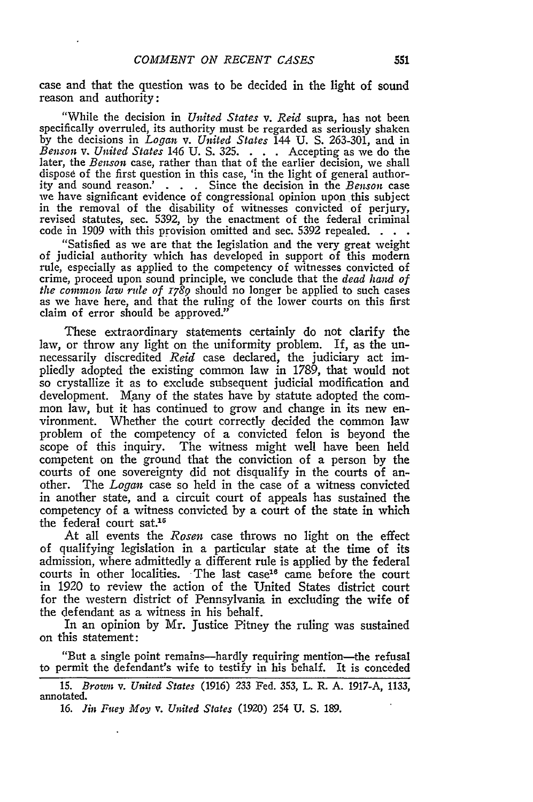case and that the question was to be decided in the light of sound reason and authority:

"While the decision in *United States v. Reid* supra, has not been specifically overruled, its authority must be regarded as seriously shaken by the decisions in *Logan v. United States* 144 U. S. 263-301, and in *Benson v. United States* 146 **U. S. 325. . . .** Accepting as we do the later, the *Benson* case, rather than that of the earlier decision, we shall dispose of the first question in this case, 'in the light of general authority and sound reason.' . . **.** Since the decision in the *Benson* case in the removal of the disability of witnesses convicted of perjury, revised statutes, sec. 5392, by the enactment of the federal criminal code in 1909 with this provision omitted and sec. 5392 repealed.

"Satisfied as we are that the legislation and the very great weight of judicial authority which has developed in support of this modern rule, especially as applied to the competency of witnesses convicted of crime, proceed upon sound principle, we conclude that the *dead hand of the common law rule of 1789* should no longer be applied to such cases as we have here, and that the ruling of the lower courts on this first claim of error should be approved."

These extraordinary statements certainly do not clarify the law, or throw any light on the uniformity problem. If, as the unnecessarily discredited *Reid* case declared, the judiciary act impliedly adopted the existing common law in 1789, that would not so crystallize it as to exclude subsequent judicial modification and development. Many of the states have by statute adopted the common law, but it has continued to grow and change in its new environment. Whether the court correctly decided the common law problem of the competency of a convicted felon is beyond the scope of this inquiry. The witness might well have been held competent on the ground that the conviction of a person by the courts of one sovereignty did not disqualify in the courts of another. The *Logan* case so held in the case of a witness convicted in another state, and a circuit court of appeals has sustained the competency of a witness convicted by a court of the state in which the federal court sat.<sup>15</sup>

At all events the *Rosen* case throws no light on the effect of qualifying legislation in a particular state at the time of its admission, where admittedly a different rule is applied by the federal courts in other localities. The last case<sup>16</sup> came before the court in 1920 to review the action of the United States district court for the western district of Pennsylvania in excluding the wife of the defendant as a witness in his behalf.

In an opinion by Mr. Justice Pitney the ruling was sustained on this statement:

"But a single point remains-hardly requiring mention-the refusal to permit the defendant's wife to testify in his behalf. It is conceded

15. *Brown v. United States* (1916) 233 Fed. 353, L. R. A. 1917-A, 1133, annotated.

**16.** *Jin Fuey Moy v. United States* (1920) 254 **U. S.** 189.